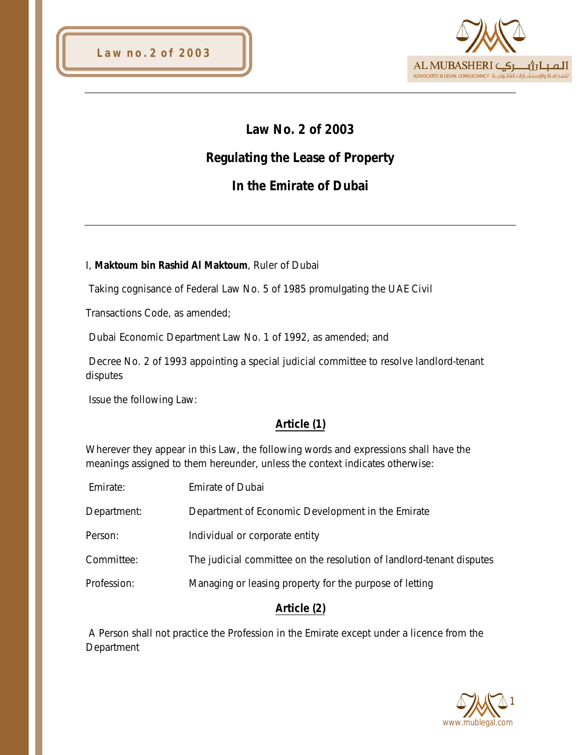

# **Law No. 2 of 2003**

# **Regulating the Lease of Property**

# **In the Emirate of Dubai**

#### I, **Maktoum bin Rashid Al Maktoum**, Ruler of Dubai

Taking cognisance of Federal Law No. 5 of 1985 promulgating the UAE Civil

Transactions Code, as amended;

Dubai Economic Department Law No. 1 of 1992, as amended; and

Decree No. 2 of 1993 appointing a special judicial committee to resolve landlord-tenant disputes

Issue the following Law:

#### **Article (1)**

Wherever they appear in this Law, the following words and expressions shall have the meanings assigned to them hereunder, unless the context indicates otherwise:

| Emirate:    | <b>Emirate of Dubai</b>                                              |
|-------------|----------------------------------------------------------------------|
| Department: | Department of Economic Development in the Emirate                    |
| Person:     | Individual or corporate entity                                       |
| Committee:  | The judicial committee on the resolution of landlord-tenant disputes |
| Profession: | Managing or leasing property for the purpose of letting              |
|             |                                                                      |

#### **Article (2)**

A Person shall not practice the Profession in the Emirate except under a licence from the **Department** 

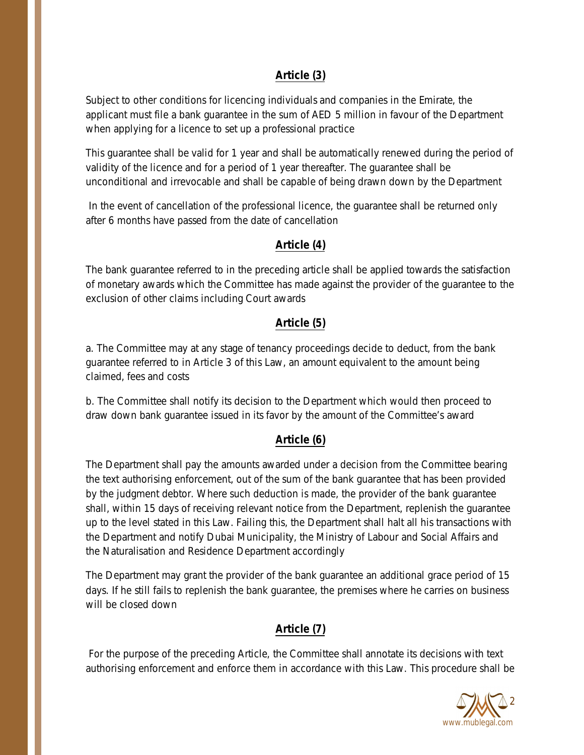### **Article (3)**

Subject to other conditions for licencing individuals and companies in the Emirate, the applicant must file a bank guarantee in the sum of AED 5 million in favour of the Department when applying for a licence to set up a professional practice

This guarantee shall be valid for 1 year and shall be automatically renewed during the period of validity of the licence and for a period of 1 year thereafter. The guarantee shall be unconditional and irrevocable and shall be capable of being drawn down by the Department

In the event of cancellation of the professional licence, the guarantee shall be returned only after 6 months have passed from the date of cancellation

#### **Article (4)**

The bank guarantee referred to in the preceding article shall be applied towards the satisfaction of monetary awards which the Committee has made against the provider of the guarantee to the exclusion of other claims including Court awards

#### **Article (5)**

a. The Committee may at any stage of tenancy proceedings decide to deduct, from the bank guarantee referred to in Article 3 of this Law, an amount equivalent to the amount being claimed, fees and costs

b. The Committee shall notify its decision to the Department which would then proceed to draw down bank guarantee issued in its favor by the amount of the Committee's award

#### **Article (6)**

The Department shall pay the amounts awarded under a decision from the Committee bearing the text authorising enforcement, out of the sum of the bank guarantee that has been provided by the judgment debtor. Where such deduction is made, the provider of the bank guarantee shall, within 15 days of receiving relevant notice from the Department, replenish the guarantee up to the level stated in this Law. Failing this, the Department shall halt all his transactions with the Department and notify Dubai Municipality, the Ministry of Labour and Social Affairs and the Naturalisation and Residence Department accordingly

The Department may grant the provider of the bank guarantee an additional grace period of 15 days. If he still fails to replenish the bank guarantee, the premises where he carries on business will be closed down

#### **Article (7)**

For the purpose of the preceding Article, the Committee shall annotate its decisions with text authorising enforcement and enforce them in accordance with this Law. This procedure shall be